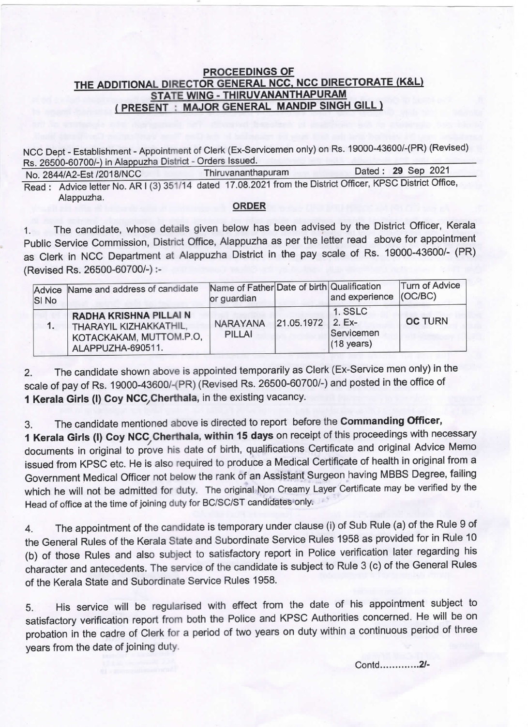## THE ADDITIONAL DIRECTOR GENERAL NCC, NCC DIRECTORATE PROCEEDINGS OF <u>STATE WING - THIRUVANANTHAPURAM</u> PRESENT : MAJOR GENERAL MANDIP SINGH

Rs. 26500-60700/-) in Alappuzha District - Orders Issued. NCC Dept - Establishment - Appointment of Clerk (Ex-Servicemen only) on Rs. 19000-43600/-(PR) (Revised)

No. 2844/A2-Est /2018/NCO Read: Advice letter No. AR I (3) 351/14 dated 17.08.2021 from the District Officer, KPSC District Office, **Thiruvananthapuram** Alappuzha. Dated : 29 Sep 2021

## ORDER

The candidate, whose details given below has been advised by the District Officer, Kerala Public Service Commission, District Office, Alappuzha as per the letter read above for appointment as clerk in NCO Department at Alappuzha District in the pay scale of Rs. 19000-43600/- (PR) (Revised Rs. 26500-60700/-) :-

| SI <sub>No</sub> | Advice Name and address of candidate                                                                    | Name of Father Date of birth Qualification<br>or guardian |                   | and experience (OC/BC)                        | Turn of Advice |
|------------------|---------------------------------------------------------------------------------------------------------|-----------------------------------------------------------|-------------------|-----------------------------------------------|----------------|
|                  | <b>RADHA KRISHNA PILLAI N</b><br>THARAYIL KIZHAKKATHIL,<br>KOTACKAKAM, MUTTOM.P.O.<br>ALAPPUZHA-690511. | <b>NARAYANA</b><br>PILLAI                                 | 21.05.1972 2. Ex- | 1. SSLC<br>Servicemen<br>$(18 \text{ years})$ | <b>OC TURN</b> |

2. The candidate shown above is appointed temporarily as clerk (Ex-Service men only) in the scale of pay of Rs. 19000-43600/-(PR) (Revised Rs. 26500-60700/-) and posted in the office of 1 Kerala Girls (I) Coy NCC, Cherthala, in the existing vacancy.

3. The candidate mentioned above is directed to report before the **Commanding Officer,**<br>**1 Kerala Girls (I) Coy NCC, Cherthala, within 15 days** on receipt of this proceedings with necessary documents in original to prove his date of birth, qualifications Certificate and original Advice Memo issued from KPSC etc. He is also required to produce a Medical Certificate of health in original from a Government Medical Officer not below the rank of an Assis'tant Surgeon having MBBS Degree, failing which he will not be admitted for duty. The original Non Creamy Layer Certificate may be verified by the Head of office at the time of joining duty for BC/SC/ST candidates only.

4. The appointment of the candidate is temporary under clause (i) of sub Rule (a) of the Rule 9 Of the General Rules of the Kerala State and Subordinate Service Rules 1958 as provided for in Rule 10 (b) of those Rules and also subject to satisfactory report in Police verification later regarding his character and antecedents. The service of the candidate is subject to Rule 3 (c) of the General Rules of the Kerala State and Subordinate Service Rules 1958.

5. His service will be regularised with effect from the date of his appointment subject to satisfactory verification report from both the Police and KPSC Authorities concerned. He will be on probation in the cadre of Clerk for a period of two years on duty within a continuous period of three years from the date of joining duty.

Contd.........-..2/.